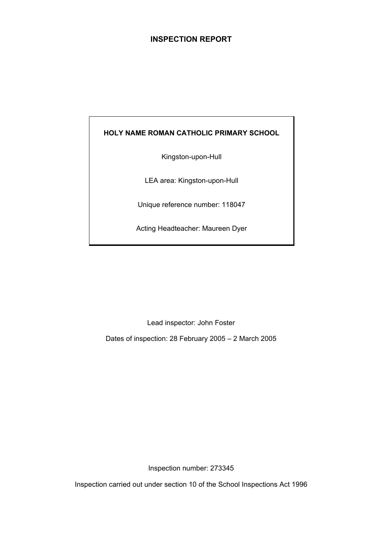## **INSPECTION REPORT**

## **HOLY NAME ROMAN CATHOLIC PRIMARY SCHOOL**

Kingston-upon-Hull

LEA area: Kingston-upon-Hull

Unique reference number: 118047

Acting Headteacher: Maureen Dyer

Lead inspector: John Foster

Dates of inspection: 28 February 2005 – 2 March 2005

Inspection number: 273345

Inspection carried out under section 10 of the School Inspections Act 1996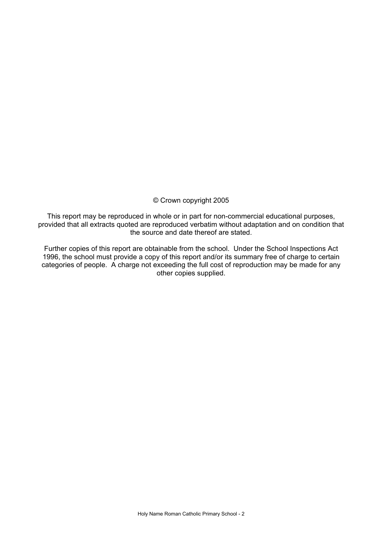## © Crown copyright 2005

This report may be reproduced in whole or in part for non-commercial educational purposes, provided that all extracts quoted are reproduced verbatim without adaptation and on condition that the source and date thereof are stated.

Further copies of this report are obtainable from the school. Under the School Inspections Act 1996, the school must provide a copy of this report and/or its summary free of charge to certain categories of people. A charge not exceeding the full cost of reproduction may be made for any other copies supplied.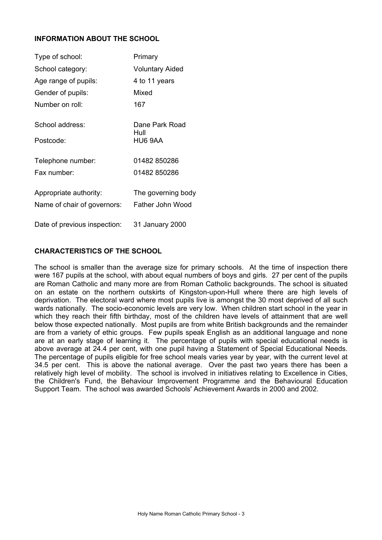## **INFORMATION ABOUT THE SCHOOL**

| Type of school:              | Primary                |
|------------------------------|------------------------|
| School category:             | <b>Voluntary Aided</b> |
| Age range of pupils:         | 4 to 11 years          |
| Gender of pupils:            | Mixed                  |
| Number on roll:              | 167                    |
| School address:              | Dane Park Road<br>Hull |
| Postcode:                    | HU6 9AA                |
| Telephone number:            | 01482 850286           |
| Fax number:                  | 01482 850286           |
| Appropriate authority:       | The governing body     |
| Name of chair of governors:  | Father John Wood       |
| Date of previous inspection: | 31 January 2000        |

## **CHARACTERISTICS OF THE SCHOOL**

The school is smaller than the average size for primary schools. At the time of inspection there were 167 pupils at the school, with about equal numbers of boys and girls. 27 per cent of the pupils are Roman Catholic and many more are from Roman Catholic backgrounds. The school is situated on an estate on the northern outskirts of Kingston-upon-Hull where there are high levels of deprivation. The electoral ward where most pupils live is amongst the 30 most deprived of all such wards nationally. The socio-economic levels are very low. When children start school in the year in which they reach their fifth birthday, most of the children have levels of attainment that are well below those expected nationally. Most pupils are from white British backgrounds and the remainder are from a variety of ethic groups. Few pupils speak English as an additional language and none are at an early stage of learning it. The percentage of pupils with special educational needs is above average at 24.4 per cent, with one pupil having a Statement of Special Educational Needs. The percentage of pupils eligible for free school meals varies year by year, with the current level at 34.5 per cent. This is above the national average. Over the past two years there has been a relatively high level of mobility. The school is involved in initiatives relating to Excellence in Cities, the Children's Fund, the Behaviour Improvement Programme and the Behavioural Education Support Team. The school was awarded Schools' Achievement Awards in 2000 and 2002.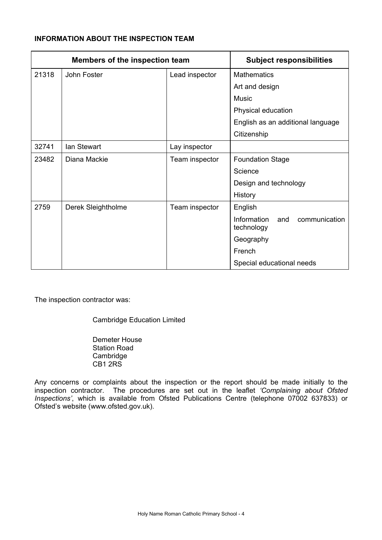## **INFORMATION ABOUT THE INSPECTION TEAM**

| <b>Members of the inspection team</b> |                    |                | <b>Subject responsibilities</b>                   |
|---------------------------------------|--------------------|----------------|---------------------------------------------------|
| 21318                                 | John Foster        | Lead inspector | <b>Mathematics</b>                                |
|                                       |                    |                | Art and design                                    |
|                                       |                    |                | Music                                             |
|                                       |                    |                | Physical education                                |
|                                       |                    |                | English as an additional language                 |
|                                       |                    |                | Citizenship                                       |
| 32741                                 | Ian Stewart        | Lay inspector  |                                                   |
| 23482                                 | Diana Mackie       | Team inspector | <b>Foundation Stage</b>                           |
|                                       |                    |                | Science                                           |
|                                       |                    |                | Design and technology                             |
|                                       |                    |                | History                                           |
| 2759                                  | Derek Sleightholme | Team inspector | English                                           |
|                                       |                    |                | Information<br>communication<br>and<br>technology |
|                                       |                    |                | Geography                                         |
|                                       |                    |                | French                                            |
|                                       |                    |                | Special educational needs                         |

The inspection contractor was:

Cambridge Education Limited

 Demeter House Station Road Cambridge CB1 2RS

Any concerns or complaints about the inspection or the report should be made initially to the inspection contractor. The procedures are set out in the leaflet *'Complaining about Ofsted Inspections'*, which is available from Ofsted Publications Centre (telephone 07002 637833) or Ofsted's website (www.ofsted.gov.uk).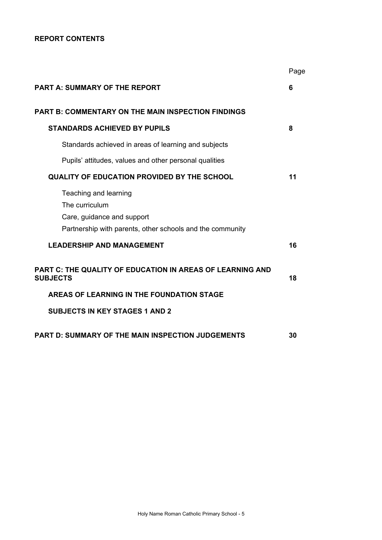## **REPORT CONTENTS**

|                                                                                                                                    | Page |
|------------------------------------------------------------------------------------------------------------------------------------|------|
| <b>PART A: SUMMARY OF THE REPORT</b>                                                                                               | 6    |
| <b>PART B: COMMENTARY ON THE MAIN INSPECTION FINDINGS</b>                                                                          |      |
| <b>STANDARDS ACHIEVED BY PUPILS</b>                                                                                                | 8    |
| Standards achieved in areas of learning and subjects                                                                               |      |
| Pupils' attitudes, values and other personal qualities                                                                             |      |
| QUALITY OF EDUCATION PROVIDED BY THE SCHOOL                                                                                        | 11   |
| Teaching and learning<br>The curriculum<br>Care, guidance and support<br>Partnership with parents, other schools and the community |      |
| <b>LEADERSHIP AND MANAGEMENT</b>                                                                                                   | 16   |
| <b>PART C: THE QUALITY OF EDUCATION IN AREAS OF LEARNING AND</b><br><b>SUBJECTS</b>                                                | 18   |
| AREAS OF LEARNING IN THE FOUNDATION STAGE                                                                                          |      |
| <b>SUBJECTS IN KEY STAGES 1 AND 2</b>                                                                                              |      |
| <b>PART D: SUMMARY OF THE MAIN INSPECTION JUDGEMENTS</b>                                                                           | 30   |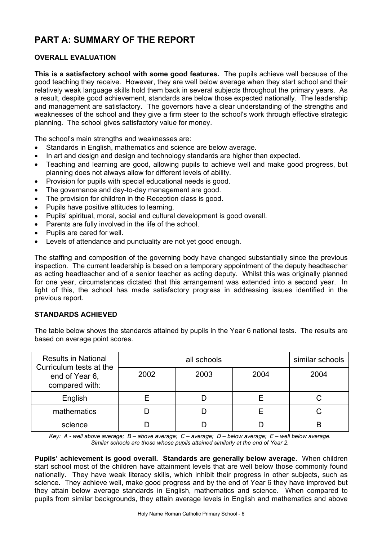# **PART A: SUMMARY OF THE REPORT**

## **OVERALL EVALUATION**

**This is a satisfactory school with some good features.** The pupils achieve well because of the good teaching they receive. However, they are well below average when they start school and their relatively weak language skills hold them back in several subjects throughout the primary years. As a result, despite good achievement, standards are below those expected nationally. The leadership and management are satisfactory. The governors have a clear understanding of the strengths and weaknesses of the school and they give a firm steer to the school's work through effective strategic planning. The school gives satisfactory value for money.

The school's main strengths and weaknesses are:

- Standards in English, mathematics and science are below average.
- In art and design and design and technology standards are higher than expected.
- Teaching and learning are good, allowing pupils to achieve well and make good progress, but planning does not always allow for different levels of ability.
- Provision for pupils with special educational needs is good.
- The governance and day-to-day management are good.
- The provision for children in the Reception class is good.
- Pupils have positive attitudes to learning.
- Pupils' spiritual, moral, social and cultural development is good overall.
- Parents are fully involved in the life of the school.
- Pupils are cared for well.
- Levels of attendance and punctuality are not yet good enough.

The staffing and composition of the governing body have changed substantially since the previous inspection. The current leadership is based on a temporary appointment of the deputy headteacher as acting headteacher and of a senior teacher as acting deputy. Whilst this was originally planned for one year, circumstances dictated that this arrangement was extended into a second year. In light of this, the school has made satisfactory progress in addressing issues identified in the previous report.

## **STANDARDS ACHIEVED**

The table below shows the standards attained by pupils in the Year 6 national tests. The results are based on average point scores.

| <b>Results in National</b><br>Curriculum tests at the |      | similar schools |      |      |
|-------------------------------------------------------|------|-----------------|------|------|
| end of Year 6,<br>compared with:                      | 2002 | 2003            | 2004 | 2004 |
| English                                               |      |                 |      |      |
| mathematics                                           |      |                 |      |      |
| science                                               |      |                 |      |      |

*Key: A - well above average; B – above average; C – average; D – below average; E – well below average. Similar schools are those whose pupils attained similarly at the end of Year 2.* 

**Pupils' achievement is good overall. Standards are generally below average.** When children start school most of the children have attainment levels that are well below those commonly found nationally. They have weak literacy skills, which inhibit their progress in other subjects, such as science. They achieve well, make good progress and by the end of Year 6 they have improved but they attain below average standards in English, mathematics and science. When compared to pupils from similar backgrounds, they attain average levels in English and mathematics and above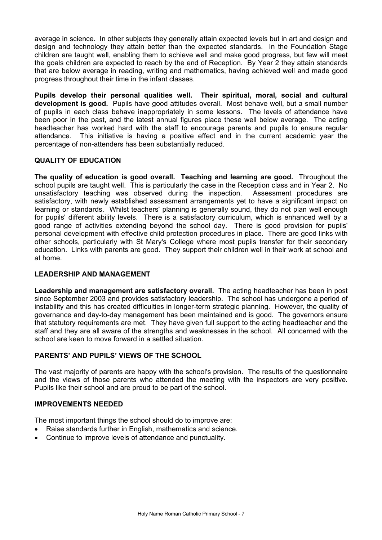average in science. In other subjects they generally attain expected levels but in art and design and design and technology they attain better than the expected standards. In the Foundation Stage children are taught well, enabling them to achieve well and make good progress, but few will meet the goals children are expected to reach by the end of Reception. By Year 2 they attain standards that are below average in reading, writing and mathematics, having achieved well and made good progress throughout their time in the infant classes.

**Pupils develop their personal qualities well. Their spiritual, moral, social and cultural development is good.** Pupils have good attitudes overall. Most behave well, but a small number of pupils in each class behave inappropriately in some lessons. The levels of attendance have been poor in the past, and the latest annual figures place these well below average. The acting headteacher has worked hard with the staff to encourage parents and pupils to ensure regular attendance. This initiative is having a positive effect and in the current academic year the percentage of non-attenders has been substantially reduced.

## **QUALITY OF EDUCATION**

**The quality of education is good overall. Teaching and learning are good.** Throughout the school pupils are taught well. This is particularly the case in the Reception class and in Year 2. No unsatisfactory teaching was observed during the inspection. Assessment procedures are satisfactory, with newly established assessment arrangements yet to have a significant impact on learning or standards. Whilst teachers' planning is generally sound, they do not plan well enough for pupils' different ability levels. There is a satisfactory curriculum, which is enhanced well by a good range of activities extending beyond the school day. There is good provision for pupils' personal development with effective child protection procedures in place. There are good links with other schools, particularly with St Mary's College where most pupils transfer for their secondary education. Links with parents are good. They support their children well in their work at school and at home.

## **LEADERSHIP AND MANAGEMENT**

**Leadership and management are satisfactory overall.** The acting headteacher has been in post since September 2003 and provides satisfactory leadership. The school has undergone a period of instability and this has created difficulties in longer-term strategic planning. However, the quality of governance and day-to-day management has been maintained and is good. The governors ensure that statutory requirements are met. They have given full support to the acting headteacher and the staff and they are all aware of the strengths and weaknesses in the school. All concerned with the school are keen to move forward in a settled situation.

## **PARENTS' AND PUPILS' VIEWS OF THE SCHOOL**

The vast majority of parents are happy with the school's provision. The results of the questionnaire and the views of those parents who attended the meeting with the inspectors are very positive. Pupils like their school and are proud to be part of the school.

## **IMPROVEMENTS NEEDED**

The most important things the school should do to improve are:

- Raise standards further in English, mathematics and science.
- Continue to improve levels of attendance and punctuality.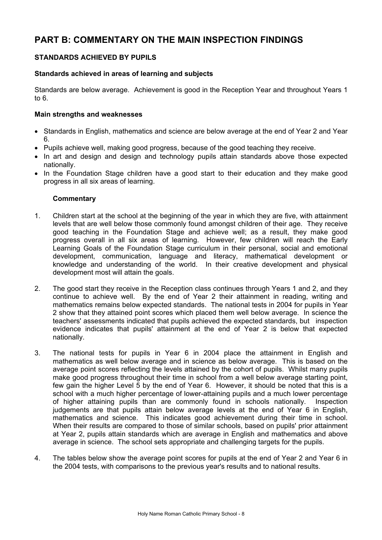# **PART B: COMMENTARY ON THE MAIN INSPECTION FINDINGS**

## **STANDARDS ACHIEVED BY PUPILS**

## **Standards achieved in areas of learning and subjects**

Standards are below average. Achievement is good in the Reception Year and throughout Years 1 to 6.

#### **Main strengths and weaknesses**

- Standards in English, mathematics and science are below average at the end of Year 2 and Year 6.
- Pupils achieve well, making good progress, because of the good teaching they receive.
- In art and design and design and technology pupils attain standards above those expected nationally.
- In the Foundation Stage children have a good start to their education and they make good progress in all six areas of learning.

## **Commentary**

- 1. Children start at the school at the beginning of the year in which they are five, with attainment levels that are well below those commonly found amongst children of their age. They receive good teaching in the Foundation Stage and achieve well; as a result, they make good progress overall in all six areas of learning. However, few children will reach the Early Learning Goals of the Foundation Stage curriculum in their personal, social and emotional development, communication, language and literacy, mathematical development or knowledge and understanding of the world. In their creative development and physical development most will attain the goals.
- 2. The good start they receive in the Reception class continues through Years 1 and 2, and they continue to achieve well. By the end of Year 2 their attainment in reading, writing and mathematics remains below expected standards. The national tests in 2004 for pupils in Year 2 show that they attained point scores which placed them well below average. In science the teachers' assessments indicated that pupils achieved the expected standards, but inspection evidence indicates that pupils' attainment at the end of Year 2 is below that expected nationally.
- 3. The national tests for pupils in Year 6 in 2004 place the attainment in English and mathematics as well below average and in science as below average. This is based on the average point scores reflecting the levels attained by the cohort of pupils. Whilst many pupils make good progress throughout their time in school from a well below average starting point, few gain the higher Level 5 by the end of Year 6. However, it should be noted that this is a school with a much higher percentage of lower-attaining pupils and a much lower percentage of higher attaining pupils than are commonly found in schools nationally. Inspection judgements are that pupils attain below average levels at the end of Year 6 in English, mathematics and science. This indicates good achievement during their time in school. When their results are compared to those of similar schools, based on pupils' prior attainment at Year 2, pupils attain standards which are average in English and mathematics and above average in science. The school sets appropriate and challenging targets for the pupils.
- 4. The tables below show the average point scores for pupils at the end of Year 2 and Year 6 in the 2004 tests, with comparisons to the previous year's results and to national results.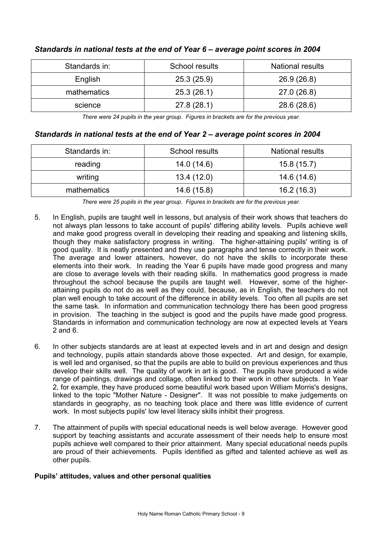| Standards in: | School results | <b>National results</b> |
|---------------|----------------|-------------------------|
| English       | 25.3(25.9)     | 26.9(26.8)              |
| mathematics   | 25.3(26.1)     | 27.0 (26.8)             |
| science       | 27.8(28.1)     | 28.6 (28.6)             |

## *Standards in national tests at the end of Year 6 – average point scores in 2004*

*There were 24 pupils in the year group. Figures in brackets are for the previous year.* 

## *Standards in national tests at the end of Year 2 – average point scores in 2004*

| Standards in: | School results | <b>National results</b> |
|---------------|----------------|-------------------------|
| reading       | 14.0 (14.6)    | 15.8(15.7)              |
| writing       | 13.4(12.0)     | 14.6(14.6)              |
| mathematics   | 14.6 (15.8)    | 16.2(16.3)              |

*There were 25 pupils in the year group. Figures in brackets are for the previous year.* 

- 5. In English, pupils are taught well in lessons, but analysis of their work shows that teachers do not always plan lessons to take account of pupils' differing ability levels. Pupils achieve well and make good progress overall in developing their reading and speaking and listening skills, though they make satisfactory progress in writing. The higher-attaining pupils' writing is of good quality. It is neatly presented and they use paragraphs and tense correctly in their work. The average and lower attainers, however, do not have the skills to incorporate these elements into their work. In reading the Year 6 pupils have made good progress and many are close to average levels with their reading skills. In mathematics good progress is made throughout the school because the pupils are taught well. However, some of the higherattaining pupils do not do as well as they could, because, as in English, the teachers do not plan well enough to take account of the difference in ability levels. Too often all pupils are set the same task. In information and communication technology there has been good progress in provision. The teaching in the subject is good and the pupils have made good progress. Standards in information and communication technology are now at expected levels at Years 2 and 6.
- 6. In other subjects standards are at least at expected levels and in art and design and design and technology, pupils attain standards above those expected. Art and design, for example, is well led and organised, so that the pupils are able to build on previous experiences and thus develop their skills well. The quality of work in art is good. The pupils have produced a wide range of paintings, drawings and collage, often linked to their work in other subjects. In Year 2, for example, they have produced some beautiful work based upon William Morris's designs, linked to the topic "Mother Nature - Designer". It was not possible to make judgements on standards in geography, as no teaching took place and there was little evidence of current work. In most subjects pupils' low level literacy skills inhibit their progress.
- 7. The attainment of pupils with special educational needs is well below average. However good support by teaching assistants and accurate assessment of their needs help to ensure most pupils achieve well compared to their prior attainment. Many special educational needs pupils are proud of their achievements. Pupils identified as gifted and talented achieve as well as other pupils.

## **Pupils' attitudes, values and other personal qualities**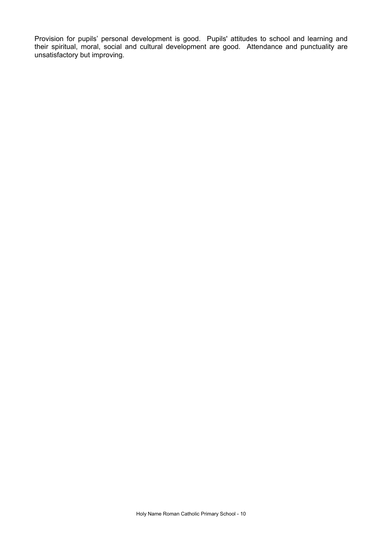Provision for pupils' personal development is good. Pupils' attitudes to school and learning and their spiritual, moral, social and cultural development are good. Attendance and punctuality are unsatisfactory but improving.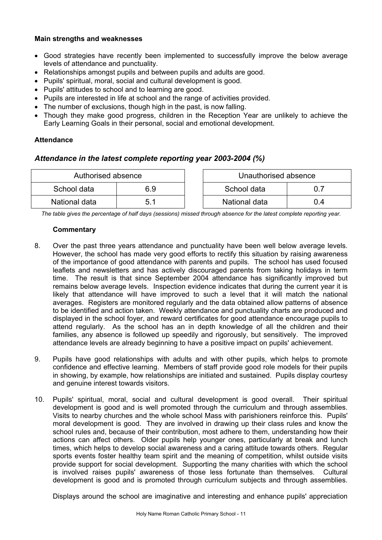## **Main strengths and weaknesses**

- Good strategies have recently been implemented to successfully improve the below average levels of attendance and punctuality.
- Relationships amongst pupils and between pupils and adults are good.
- Pupils' spiritual, moral, social and cultural development is good.
- Pupils' attitudes to school and to learning are good.
- Pupils are interested in life at school and the range of activities provided.
- The number of exclusions, though high in the past, is now falling.
- Though they make good progress, children in the Reception Year are unlikely to achieve the Early Learning Goals in their personal, social and emotional development.

## **Attendance**

## *Attendance in the latest complete reporting year 2003-2004 (%)*

| Authorised absence |     | Unauthorised absence |  |
|--------------------|-----|----------------------|--|
| School data        | 6.9 | School data          |  |
| National data      |     | National data        |  |

*The table gives the percentage of half days (sessions) missed through absence for the latest complete reporting year.*

## **Commentary**

- 8. Over the past three years attendance and punctuality have been well below average levels. However, the school has made very good efforts to rectify this situation by raising awareness of the importance of good attendance with parents and pupils. The school has used focused leaflets and newsletters and has actively discouraged parents from taking holidays in term time. The result is that since September 2004 attendance has significantly improved but remains below average levels. Inspection evidence indicates that during the current year it is likely that attendance will have improved to such a level that it will match the national averages. Registers are monitored regularly and the data obtained allow patterns of absence to be identified and action taken. Weekly attendance and punctuality charts are produced and displayed in the school foyer, and reward certificates for good attendance encourage pupils to attend regularly. As the school has an in depth knowledge of all the children and their families, any absence is followed up speedily and rigorously, but sensitively. The improved attendance levels are already beginning to have a positive impact on pupils' achievement.
- 9. Pupils have good relationships with adults and with other pupils, which helps to promote confidence and effective learning. Members of staff provide good role models for their pupils in showing, by example, how relationships are initiated and sustained. Pupils display courtesy and genuine interest towards visitors.
- 10. Pupils' spiritual, moral, social and cultural development is good overall. Their spiritual development is good and is well promoted through the curriculum and through assemblies. Visits to nearby churches and the whole school Mass with parishioners reinforce this. Pupils' moral development is good. They are involved in drawing up their class rules and know the school rules and, because of their contribution, most adhere to them, understanding how their actions can affect others. Older pupils help younger ones, particularly at break and lunch times, which helps to develop social awareness and a caring attitude towards others. Regular sports events foster healthy team spirit and the meaning of competition, whilst outside visits provide support for social development. Supporting the many charities with which the school is involved raises pupils' awareness of those less fortunate than themselves. Cultural development is good and is promoted through curriculum subjects and through assemblies.

Displays around the school are imaginative and interesting and enhance pupils' appreciation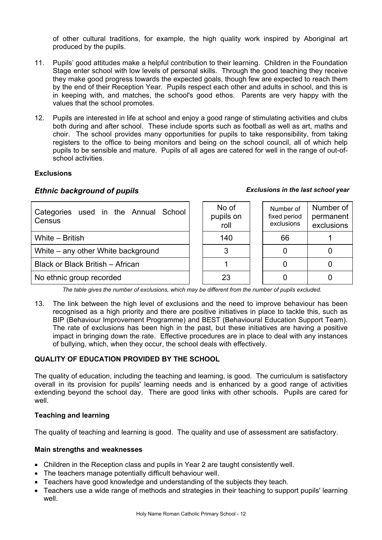of other cultural traditions, for example, the high quality work inspired by Aboriginal art produced by the pupils.

- 11. Pupils' good attitudes make a helpful contribution to their learning. Children in the Foundation Stage enter school with low levels of personal skills. Through the good teaching they receive they make good progress towards the expected goals, though few are expected to reach them by the end of their Reception Year. Pupils respect each other and adults in school, and this is in keeping with, and matches, the school's good ethos. Parents are very happy with the values that the school promotes.
- 12. Pupils are interested in life at school and enjoy a good range of stimulating activities and clubs both during and after school. These include sports such as football as well as art, maths and choir. The school provides many opportunities for pupils to take responsibility, from taking registers to the office to being monitors and being on the school council, all of which help pupils to be sensible and mature. Pupils of all ages are catered for well in the range of out-ofschool activities.

## **Exclusions**

## *Ethnic background of pupils Exclusions in the last school year*

| Categories used in the Annual School<br>Census |  | No of<br>pupils on<br>roll | Number of<br>fixed period<br>exclusions | Number of<br>permanent<br>exclusions |
|------------------------------------------------|--|----------------------------|-----------------------------------------|--------------------------------------|
| White - British                                |  | 140                        | 66                                      |                                      |
| White – any other White background             |  |                            |                                         |                                      |
| Black or Black British - African               |  |                            |                                         |                                      |
| No ethnic group recorded                       |  | 23                         |                                         |                                      |

*The table gives the number of exclusions, which may be different from the number of pupils excluded.*

13. The link between the high level of exclusions and the need to improve behaviour has been recognised as a high priority and there are positive initiatives in place to tackle this, such as BIP (Behaviour Improvement Programme) and BEST (Behavioural Education Support Team). The rate of exclusions has been high in the past, but these initiatives are having a positive impact in bringing down the rate. Effective procedures are in place to deal with any instances of bullying, which, when they occur, the school deals with effectively.

## **QUALITY OF EDUCATION PROVIDED BY THE SCHOOL**

The quality of education, including the teaching and learning, is good. The curriculum is satisfactory overall in its provision for pupils' learning needs and is enhanced by a good range of activities extending beyond the school day. There are good links with other schools. Pupils are cared for well.

## **Teaching and learning**

The quality of teaching and learning is good. The quality and use of assessment are satisfactory.

## **Main strengths and weaknesses**

- Children in the Reception class and pupils in Year 2 are taught consistently well.
- The teachers manage potentially difficult behaviour well.
- Teachers have good knowledge and understanding of the subjects they teach.
- Teachers use a wide range of methods and strategies in their teaching to support pupils' learning well.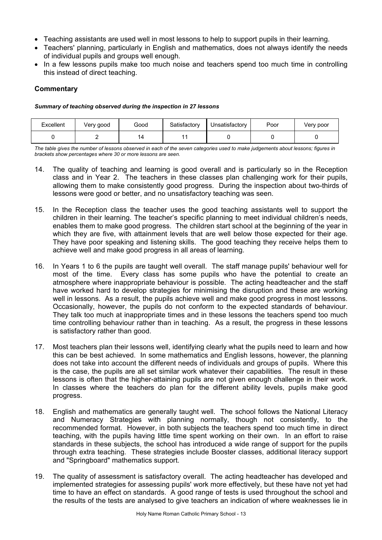- Teaching assistants are used well in most lessons to help to support pupils in their learning.
- Teachers' planning, particularly in English and mathematics, does not always identify the needs of individual pupils and groups well enough.
- In a few lessons pupils make too much noise and teachers spend too much time in controlling this instead of direct teaching.

## **Commentary**

#### *Summary of teaching observed during the inspection in 27 lessons*

| Excellent | Very good | Good | Satisfactory | Jnsatisfactory | Poor | Very poor |
|-----------|-----------|------|--------------|----------------|------|-----------|
|           |           |      |              |                |      |           |

*The table gives the number of lessons observed in each of the seven categories used to make judgements about lessons; figures in brackets show percentages where 30 or more lessons are seen.* 

- 14. The quality of teaching and learning is good overall and is particularly so in the Reception class and in Year 2. The teachers in these classes plan challenging work for their pupils, allowing them to make consistently good progress. During the inspection about two-thirds of lessons were good or better, and no unsatisfactory teaching was seen.
- 15. In the Reception class the teacher uses the good teaching assistants well to support the children in their learning. The teacher's specific planning to meet individual children's needs, enables them to make good progress. The children start school at the beginning of the year in which they are five, with attainment levels that are well below those expected for their age. They have poor speaking and listening skills. The good teaching they receive helps them to achieve well and make good progress in all areas of learning.
- 16. In Years 1 to 6 the pupils are taught well overall. The staff manage pupils' behaviour well for most of the time. Every class has some pupils who have the potential to create an atmosphere where inappropriate behaviour is possible. The acting headteacher and the staff have worked hard to develop strategies for minimising the disruption and these are working well in lessons. As a result, the pupils achieve well and make good progress in most lessons. Occasionally, however, the pupils do not conform to the expected standards of behaviour. They talk too much at inappropriate times and in these lessons the teachers spend too much time controlling behaviour rather than in teaching. As a result, the progress in these lessons is satisfactory rather than good.
- 17. Most teachers plan their lessons well, identifying clearly what the pupils need to learn and how this can be best achieved. In some mathematics and English lessons, however, the planning does not take into account the different needs of individuals and groups of pupils. Where this is the case, the pupils are all set similar work whatever their capabilities. The result in these lessons is often that the higher-attaining pupils are not given enough challenge in their work. In classes where the teachers do plan for the different ability levels, pupils make good progress.
- 18. English and mathematics are generally taught well. The school follows the National Literacy and Numeracy Strategies with planning normally, though not consistently, to the recommended format. However, in both subjects the teachers spend too much time in direct teaching, with the pupils having little time spent working on their own. In an effort to raise standards in these subjects, the school has introduced a wide range of support for the pupils through extra teaching. These strategies include Booster classes, additional literacy support and "Springboard" mathematics support.
- 19. The quality of assessment is satisfactory overall. The acting headteacher has developed and implemented strategies for assessing pupils' work more effectively, but these have not yet had time to have an effect on standards. A good range of tests is used throughout the school and the results of the tests are analysed to give teachers an indication of where weaknesses lie in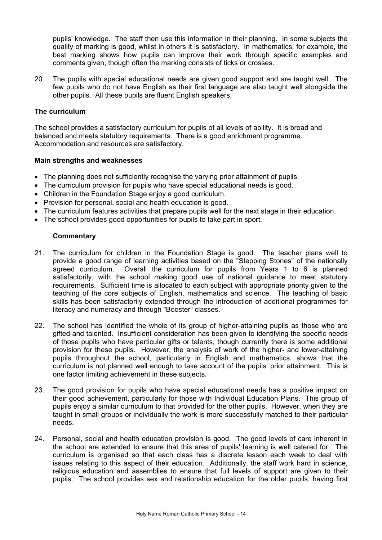pupils' knowledge. The staff then use this information in their planning. In some subjects the quality of marking is good, whilst in others it is satisfactory. In mathematics, for example, the best marking shows how pupils can improve their work through specific examples and comments given, though often the marking consists of ticks or crosses.

20. The pupils with special educational needs are given good support and are taught well. The few pupils who do not have English as their first language are also taught well alongside the other pupils. All these pupils are fluent English speakers.

## **The curriculum**

The school provides a satisfactory curriculum for pupils of all levels of ability. It is broad and balanced and meets statutory requirements. There is a good enrichment programme. Accommodation and resources are satisfactory.

## **Main strengths and weaknesses**

- The planning does not sufficiently recognise the varying prior attainment of pupils.
- The curriculum provision for pupils who have special educational needs is good.
- Children in the Foundation Stage enjoy a good curriculum.
- Provision for personal, social and health education is good.
- The curriculum features activities that prepare pupils well for the next stage in their education.
- The school provides good opportunities for pupils to take part in sport.

## **Commentary**

- 21. The curriculum for children in the Foundation Stage is good. The teacher plans well to provide a good range of learning activities based on the "Stepping Stones" of the nationally agreed curriculum. Overall the curriculum for pupils from Years 1 to 6 is planned satisfactorily, with the school making good use of national guidance to meet statutory requirements. Sufficient time is allocated to each subject with appropriate priority given to the teaching of the core subjects of English, mathematics and science. The teaching of basic skills has been satisfactorily extended through the introduction of additional programmes for literacy and numeracy and through "Booster" classes.
- 22. The school has identified the whole of its group of higher-attaining pupils as those who are gifted and talented. Insufficient consideration has been given to identifying the specific needs of those pupils who have particular gifts or talents, though currently there is some additional provision for these pupils. However, the analysis of work of the higher- and lower-attaining pupils throughout the school, particularly in English and mathematics, shows that the curriculum is not planned well enough to take account of the pupils' prior attainment. This is one factor limiting achievement in these subjects.
- 23. The good provision for pupils who have special educational needs has a positive impact on their good achievement, particularly for those with Individual Education Plans. This group of pupils enjoy a similar curriculum to that provided for the other pupils. However, when they are taught in small groups or individually the work is more successfully matched to their particular needs.
- 24. Personal, social and health education provision is good. The good levels of care inherent in the school are extended to ensure that this area of pupils' learning is well catered for. The curriculum is organised so that each class has a discrete lesson each week to deal with issues relating to this aspect of their education. Additionally, the staff work hard in science, religious education and assemblies to ensure that full levels of support are given to their pupils. The school provides sex and relationship education for the older pupils, having first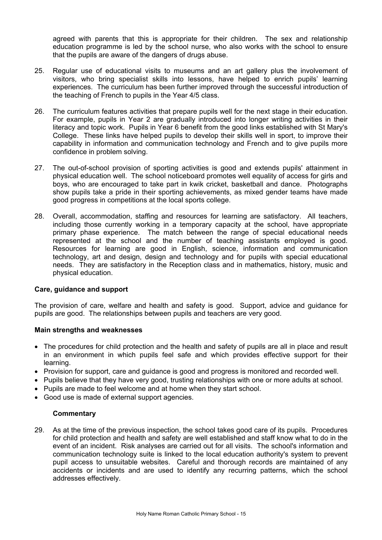agreed with parents that this is appropriate for their children. The sex and relationship education programme is led by the school nurse, who also works with the school to ensure that the pupils are aware of the dangers of drugs abuse.

- 25. Regular use of educational visits to museums and an art gallery plus the involvement of visitors, who bring specialist skills into lessons, have helped to enrich pupils' learning experiences. The curriculum has been further improved through the successful introduction of the teaching of French to pupils in the Year 4/5 class.
- 26. The curriculum features activities that prepare pupils well for the next stage in their education. For example, pupils in Year 2 are gradually introduced into longer writing activities in their literacy and topic work. Pupils in Year 6 benefit from the good links established with St Mary's College. These links have helped pupils to develop their skills well in sport, to improve their capability in information and communication technology and French and to give pupils more confidence in problem solving.
- 27. The out-of-school provision of sporting activities is good and extends pupils' attainment in physical education well. The school noticeboard promotes well equality of access for girls and boys, who are encouraged to take part in kwik cricket, basketball and dance. Photographs show pupils take a pride in their sporting achievements, as mixed gender teams have made good progress in competitions at the local sports college.
- 28. Overall, accommodation, staffing and resources for learning are satisfactory. All teachers, including those currently working in a temporary capacity at the school, have appropriate primary phase experience. The match between the range of special educational needs represented at the school and the number of teaching assistants employed is good. Resources for learning are good in English, science, information and communication technology, art and design, design and technology and for pupils with special educational needs. They are satisfactory in the Reception class and in mathematics, history, music and physical education.

## **Care, guidance and support**

The provision of care, welfare and health and safety is good. Support, advice and guidance for pupils are good. The relationships between pupils and teachers are very good.

#### **Main strengths and weaknesses**

- The procedures for child protection and the health and safety of pupils are all in place and result in an environment in which pupils feel safe and which provides effective support for their learning.
- Provision for support, care and guidance is good and progress is monitored and recorded well.
- Pupils believe that they have very good, trusting relationships with one or more adults at school.
- Pupils are made to feel welcome and at home when they start school.
- Good use is made of external support agencies.

## **Commentary**

29. As at the time of the previous inspection, the school takes good care of its pupils. Procedures for child protection and health and safety are well established and staff know what to do in the event of an incident. Risk analyses are carried out for all visits. The school's information and communication technology suite is linked to the local education authority's system to prevent pupil access to unsuitable websites. Careful and thorough records are maintained of any accidents or incidents and are used to identify any recurring patterns, which the school addresses effectively.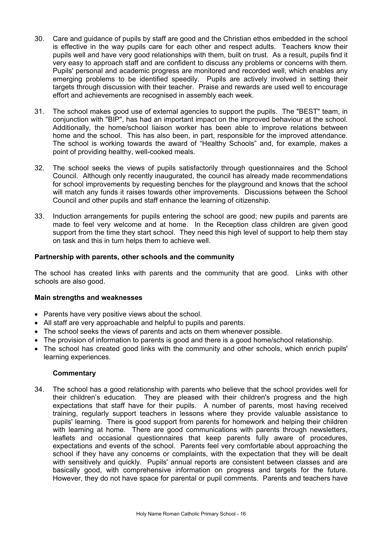- 30. Care and guidance of pupils by staff are good and the Christian ethos embedded in the school is effective in the way pupils care for each other and respect adults. Teachers know their pupils well and have very good relationships with them, built on trust. As a result, pupils find it very easy to approach staff and are confident to discuss any problems or concerns with them. Pupils' personal and academic progress are monitored and recorded well, which enables any emerging problems to be identified speedily. Pupils are actively involved in setting their targets through discussion with their teacher. Praise and rewards are used well to encourage effort and achievements are recognised in assembly each week.
- 31. The school makes good use of external agencies to support the pupils. The "BEST" team, in conjunction with "BIP", has had an important impact on the improved behaviour at the school. Additionally, the home/school liaison worker has been able to improve relations between home and the school. This has also been, in part, responsible for the improved attendance. The school is working towards the award of "Healthy Schools" and, for example, makes a point of providing healthy, well-cooked meals.
- 32. The school seeks the views of pupils satisfactorily through questionnaires and the School Council. Although only recently inaugurated, the council has already made recommendations for school improvements by requesting benches for the playground and knows that the school will match any funds it raises towards other improvements. Discussions between the School Council and other pupils and staff enhance the learning of citizenship.
- 33. Induction arrangements for pupils entering the school are good; new pupils and parents are made to feel very welcome and at home. In the Reception class children are given good support from the time they start school. They need this high level of support to help them stay on task and this in turn helps them to achieve well.

## **Partnership with parents, other schools and the community**

The school has created links with parents and the community that are good. Links with other schools are also good.

## **Main strengths and weaknesses**

- Parents have very positive views about the school.
- All staff are very approachable and helpful to pupils and parents.
- The school seeks the views of parents and acts on them whenever possible.
- The provision of information to parents is good and there is a good home/school relationship.
- The school has created good links with the community and other schools, which enrich pupils' learning experiences.

#### **Commentary**

34. The school has a good relationship with parents who believe that the school provides well for their children's education. They are pleased with their children's progress and the high expectations that staff have for their pupils. A number of parents, most having received training, regularly support teachers in lessons where they provide valuable assistance to pupils' learning. There is good support from parents for homework and helping their children with learning at home. There are good communications with parents through newsletters, leaflets and occasional questionnaires that keep parents fully aware of procedures, expectations and events of the school. Parents feel very comfortable about approaching the school if they have any concerns or complaints, with the expectation that they will be dealt with sensitively and quickly. Pupils' annual reports are consistent between classes and are basically good, with comprehensive information on progress and targets for the future. However, they do not have space for parental or pupil comments. Parents and teachers have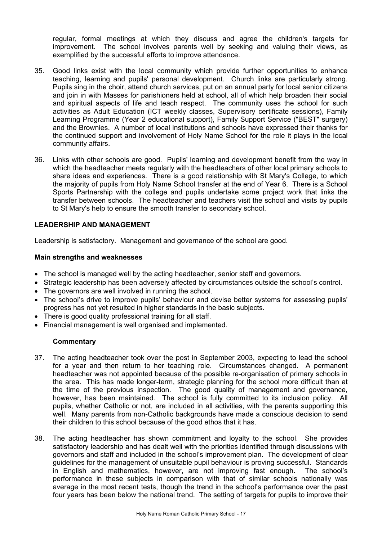regular, formal meetings at which they discuss and agree the children's targets for improvement. The school involves parents well by seeking and valuing their views, as exemplified by the successful efforts to improve attendance.

- 35. Good links exist with the local community which provide further opportunities to enhance teaching, learning and pupils' personal development. Church links are particularly strong. Pupils sing in the choir, attend church services, put on an annual party for local senior citizens and join in with Masses for parishioners held at school, all of which help broaden their social and spiritual aspects of life and teach respect. The community uses the school for such activities as Adult Education (ICT weekly classes, Supervisory certificate sessions), Family Learning Programme (Year 2 educational support), Family Support Service ("BEST" surgery) and the Brownies. A number of local institutions and schools have expressed their thanks for the continued support and involvement of Holy Name School for the role it plays in the local community affairs.
- 36. Links with other schools are good. Pupils' learning and development benefit from the way in which the headteacher meets regularly with the headteachers of other local primary schools to share ideas and experiences. There is a good relationship with St Mary's College, to which the majority of pupils from Holy Name School transfer at the end of Year 6. There is a School Sports Partnership with the college and pupils undertake some project work that links the transfer between schools. The headteacher and teachers visit the school and visits by pupils to St Mary's help to ensure the smooth transfer to secondary school.

## **LEADERSHIP AND MANAGEMENT**

Leadership is satisfactory. Management and governance of the school are good.

## **Main strengths and weaknesses**

- The school is managed well by the acting headteacher, senior staff and governors.
- Strategic leadership has been adversely affected by circumstances outside the school's control.
- The governors are well involved in running the school.
- The school's drive to improve pupils' behaviour and devise better systems for assessing pupils' progress has not yet resulted in higher standards in the basic subjects.
- There is good quality professional training for all staff.
- Financial management is well organised and implemented.

#### **Commentary**

- 37. The acting headteacher took over the post in September 2003, expecting to lead the school for a year and then return to her teaching role. Circumstances changed. A permanent headteacher was not appointed because of the possible re-organisation of primary schools in the area. This has made longer-term, strategic planning for the school more difficult than at the time of the previous inspection. The good quality of management and governance, however, has been maintained. The school is fully committed to its inclusion policy. All pupils, whether Catholic or not, are included in all activities, with the parents supporting this well. Many parents from non-Catholic backgrounds have made a conscious decision to send their children to this school because of the good ethos that it has.
- 38. The acting headteacher has shown commitment and loyalty to the school. She provides satisfactory leadership and has dealt well with the priorities identified through discussions with governors and staff and included in the school's improvement plan. The development of clear guidelines for the management of unsuitable pupil behaviour is proving successful. Standards in English and mathematics, however, are not improving fast enough. The school's performance in these subjects in comparison with that of similar schools nationally was average in the most recent tests, though the trend in the school's performance over the past four years has been below the national trend. The setting of targets for pupils to improve their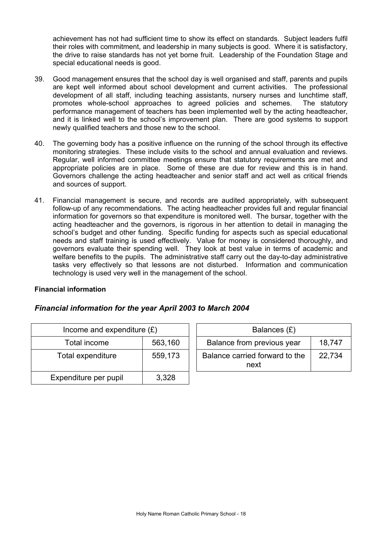achievement has not had sufficient time to show its effect on standards. Subject leaders fulfil their roles with commitment, and leadership in many subjects is good. Where it is satisfactory, the drive to raise standards has not yet borne fruit. Leadership of the Foundation Stage and special educational needs is good.

- 39. Good management ensures that the school day is well organised and staff, parents and pupils are kept well informed about school development and current activities. The professional development of all staff, including teaching assistants, nursery nurses and lunchtime staff, promotes whole-school approaches to agreed policies and schemes. The statutory performance management of teachers has been implemented well by the acting headteacher, and it is linked well to the school's improvement plan. There are good systems to support newly qualified teachers and those new to the school.
- 40. The governing body has a positive influence on the running of the school through its effective monitoring strategies. These include visits to the school and annual evaluation and reviews. Regular, well informed committee meetings ensure that statutory requirements are met and appropriate policies are in place. Some of these are due for review and this is in hand. Governors challenge the acting headteacher and senior staff and act well as critical friends and sources of support.
- 41. Financial management is secure, and records are audited appropriately, with subsequent follow-up of any recommendations. The acting headteacher provides full and regular financial information for governors so that expenditure is monitored well. The bursar, together with the acting headteacher and the governors, is rigorous in her attention to detail in managing the school's budget and other funding. Specific funding for aspects such as special educational needs and staff training is used effectively. Value for money is considered thoroughly, and governors evaluate their spending well. They look at best value in terms of academic and welfare benefits to the pupils. The administrative staff carry out the day-to-day administrative tasks very effectively so that lessons are not disturbed. Information and communication technology is used very well in the management of the school.

## **Financial information**

## *Financial information for the year April 2003 to March 2004*

| Income and expenditure $(E)$ |         |  | Balances $(E)$                         |
|------------------------------|---------|--|----------------------------------------|
| Total income                 | 563,160 |  | Balance from previous year             |
| Total expenditure            | 559,173 |  | Balance carried forward to the<br>next |
| Expenditure per pupil        | 3,328   |  |                                        |

| ncome and expenditure $(E)$ |         | Balances (£)                           |        |
|-----------------------------|---------|----------------------------------------|--------|
| Total income                | 563,160 | Balance from previous year             | 18.747 |
| tal expenditure             | 559,173 | Balance carried forward to the<br>next | 22.734 |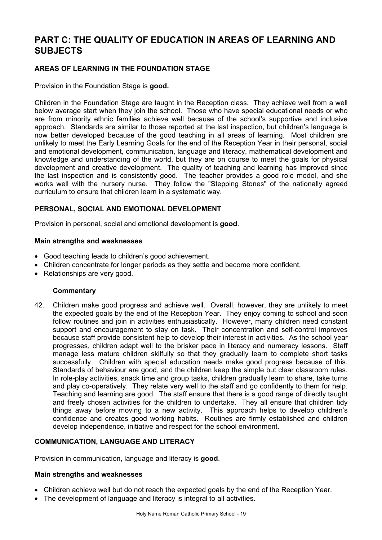# **PART C: THE QUALITY OF EDUCATION IN AREAS OF LEARNING AND SUBJECTS**

## **AREAS OF LEARNING IN THE FOUNDATION STAGE**

Provision in the Foundation Stage is **good.**

Children in the Foundation Stage are taught in the Reception class. They achieve well from a well below average start when they join the school. Those who have special educational needs or who are from minority ethnic families achieve well because of the school's supportive and inclusive approach. Standards are similar to those reported at the last inspection, but children's language is now better developed because of the good teaching in all areas of learning. Most children are unlikely to meet the Early Learning Goals for the end of the Reception Year in their personal, social and emotional development, communication, language and literacy, mathematical development and knowledge and understanding of the world, but they are on course to meet the goals for physical development and creative development. The quality of teaching and learning has improved since the last inspection and is consistently good. The teacher provides a good role model, and she works well with the nursery nurse. They follow the "Stepping Stones" of the nationally agreed curriculum to ensure that children learn in a systematic way.

## **PERSONAL, SOCIAL AND EMOTIONAL DEVELOPMENT**

Provision in personal, social and emotional development is **good**.

## **Main strengths and weaknesses**

- Good teaching leads to children's good achievement.
- Children concentrate for longer periods as they settle and become more confident.
- Relationships are very good.

## **Commentary**

42. Children make good progress and achieve well. Overall, however, they are unlikely to meet the expected goals by the end of the Reception Year. They enjoy coming to school and soon follow routines and join in activities enthusiastically. However, many children need constant support and encouragement to stay on task. Their concentration and self-control improves because staff provide consistent help to develop their interest in activities. As the school year progresses, children adapt well to the brisker pace in literacy and numeracy lessons. Staff manage less mature children skilfully so that they gradually learn to complete short tasks successfully. Children with special education needs make good progress because of this. Standards of behaviour are good, and the children keep the simple but clear classroom rules. In role-play activities, snack time and group tasks, children gradually learn to share, take turns and play co-operatively. They relate very well to the staff and go confidently to them for help. Teaching and learning are good. The staff ensure that there is a good range of directly taught and freely chosen activities for the children to undertake. They all ensure that children tidy things away before moving to a new activity. This approach helps to develop children's confidence and creates good working habits. Routines are firmly established and children develop independence, initiative and respect for the school environment.

#### **COMMUNICATION, LANGUAGE AND LITERACY**

Provision in communication, language and literacy is **good**.

#### **Main strengths and weaknesses**

- Children achieve well but do not reach the expected goals by the end of the Reception Year.
- The development of language and literacy is integral to all activities.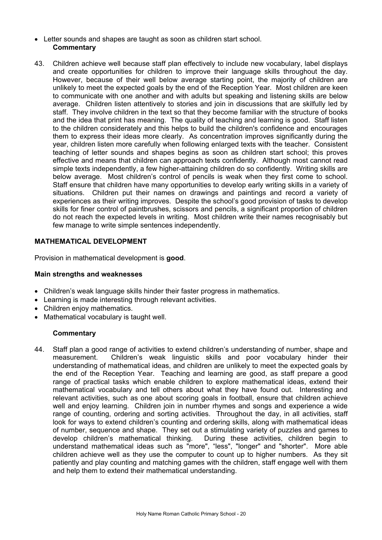- Letter sounds and shapes are taught as soon as children start school. **Commentary**
- 43. Children achieve well because staff plan effectively to include new vocabulary, label displays and create opportunities for children to improve their language skills throughout the day. However, because of their well below average starting point, the majority of children are unlikely to meet the expected goals by the end of the Reception Year. Most children are keen to communicate with one another and with adults but speaking and listening skills are below average. Children listen attentively to stories and join in discussions that are skilfully led by staff. They involve children in the text so that they become familiar with the structure of books and the idea that print has meaning. The quality of teaching and learning is good. Staff listen to the children considerately and this helps to build the children's confidence and encourages them to express their ideas more clearly. As concentration improves significantly during the year, children listen more carefully when following enlarged texts with the teacher. Consistent teaching of letter sounds and shapes begins as soon as children start school; this proves effective and means that children can approach texts confidently. Although most cannot read simple texts independently, a few higher-attaining children do so confidently. Writing skills are below average. Most children's control of pencils is weak when they first come to school. Staff ensure that children have many opportunities to develop early writing skills in a variety of situations. Children put their names on drawings and paintings and record a variety of experiences as their writing improves. Despite the school's good provision of tasks to develop skills for finer control of paintbrushes, scissors and pencils, a significant proportion of children do not reach the expected levels in writing. Most children write their names recognisably but few manage to write simple sentences independently.

## **MATHEMATICAL DEVELOPMENT**

Provision in mathematical development is **good**.

#### **Main strengths and weaknesses**

- Children's weak language skills hinder their faster progress in mathematics.
- Learning is made interesting through relevant activities.
- Children enjoy mathematics.
- Mathematical vocabulary is taught well.

#### **Commentary**

44. Staff plan a good range of activities to extend children's understanding of number, shape and measurement. Children's weak linguistic skills and poor vocabulary hinder their understanding of mathematical ideas, and children are unlikely to meet the expected goals by the end of the Reception Year. Teaching and learning are good, as staff prepare a good range of practical tasks which enable children to explore mathematical ideas, extend their mathematical vocabulary and tell others about what they have found out. Interesting and relevant activities, such as one about scoring goals in football, ensure that children achieve well and enjoy learning. Children join in number rhymes and songs and experience a wide range of counting, ordering and sorting activities. Throughout the day, in all activities, staff look for ways to extend children's counting and ordering skills, along with mathematical ideas of number, sequence and shape. They set out a stimulating variety of puzzles and games to develop children's mathematical thinking. During these activities, children begin to understand mathematical ideas such as "more", "less", "longer" and "shorter". More able children achieve well as they use the computer to count up to higher numbers. As they sit patiently and play counting and matching games with the children, staff engage well with them and help them to extend their mathematical understanding.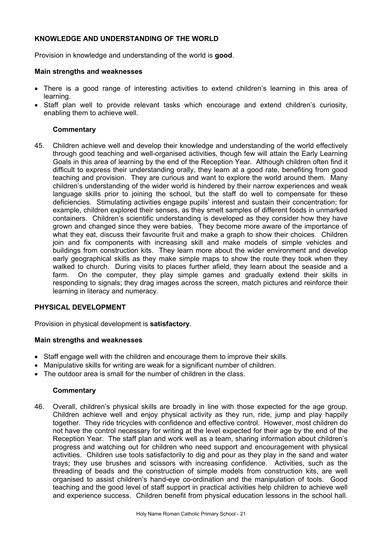## **KNOWLEDGE AND UNDERSTANDING OF THE WORLD**

Provision in knowledge and understanding of the world is **good**.

#### **Main strengths and weaknesses**

- There is a good range of interesting activities to extend children's learning in this area of learning.
- Staff plan well to provide relevant tasks which encourage and extend children's curiosity, enabling them to achieve well.

## **Commentary**

45. Children achieve well and develop their knowledge and understanding of the world effectively through good teaching and well-organised activities, though few will attain the Early Learning Goals in this area of learning by the end of the Reception Year. Although children often find it difficult to express their understanding orally, they learn at a good rate, benefiting from good teaching and provision. They are curious and want to explore the world around them. Many children's understanding of the wider world is hindered by their narrow experiences and weak language skills prior to joining the school, but the staff do well to compensate for these deficiencies. Stimulating activities engage pupils' interest and sustain their concentration; for example, children explored their senses, as they smelt samples of different foods in unmarked containers. Children's scientific understanding is developed as they consider how they have grown and changed since they were babies. They become more aware of the importance of what they eat, discuss their favourite fruit and make a graph to show their choices. Children join and fix components with increasing skill and make models of simple vehicles and buildings from construction kits. They learn more about the wider environment and develop early geographical skills as they make simple maps to show the route they took when they walked to church. During visits to places further afield, they learn about the seaside and a farm. On the computer, they play simple games and gradually extend their skills in responding to signals; they drag images across the screen, match pictures and reinforce their learning in literacy and numeracy.

## **PHYSICAL DEVELOPMENT**

Provision in physical development is **satisfactory**.

## **Main strengths and weaknesses**

- Staff engage well with the children and encourage them to improve their skills.
- Manipulative skills for writing are weak for a significant number of children.
- The outdoor area is small for the number of children in the class.

## **Commentary**

46. Overall, children's physical skills are broadly in line with those expected for the age group. Children achieve well and enjoy physical activity as they run, ride, jump and play happily together. They ride tricycles with confidence and effective control. However, most children do not have the control necessary for writing at the level expected for their age by the end of the Reception Year. The staff plan and work well as a team, sharing information about children's progress and watching out for children who need support and encouragement with physical activities. Children use tools satisfactorily to dig and pour as they play in the sand and water trays; they use brushes and scissors with increasing confidence. Activities, such as the threading of beads and the construction of simple models from construction kits, are well organised to assist children's hand-eye co-ordination and the manipulation of tools. Good teaching and the good level of staff support in practical activities help children to achieve well and experience success. Children benefit from physical education lessons in the school hall.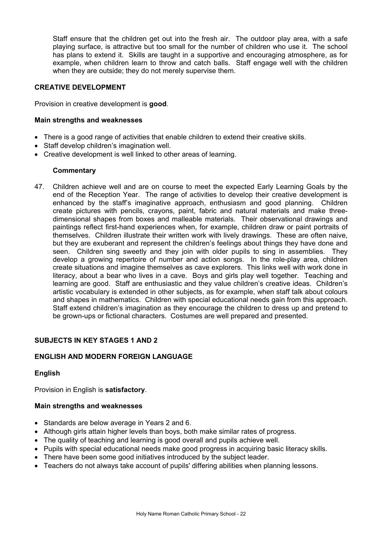Staff ensure that the children get out into the fresh air. The outdoor play area, with a safe playing surface, is attractive but too small for the number of children who use it. The school has plans to extend it. Skills are taught in a supportive and encouraging atmosphere, as for example, when children learn to throw and catch balls. Staff engage well with the children when they are outside; they do not merely supervise them.

## **CREATIVE DEVELOPMENT**

Provision in creative development is **good**.

## **Main strengths and weaknesses**

- There is a good range of activities that enable children to extend their creative skills.
- Staff develop children's imagination well.
- Creative development is well linked to other areas of learning.

## **Commentary**

47. Children achieve well and are on course to meet the expected Early Learning Goals by the end of the Reception Year. The range of activities to develop their creative development is enhanced by the staff's imaginative approach, enthusiasm and good planning. Children create pictures with pencils, crayons, paint, fabric and natural materials and make threedimensional shapes from boxes and malleable materials. Their observational drawings and paintings reflect first-hand experiences when, for example, children draw or paint portraits of themselves. Children illustrate their written work with lively drawings. These are often naive, but they are exuberant and represent the children's feelings about things they have done and seen. Children sing sweetly and they join with older pupils to sing in assemblies. They develop a growing repertoire of number and action songs. In the role-play area, children create situations and imagine themselves as cave explorers. This links well with work done in literacy, about a bear who lives in a cave. Boys and girls play well together. Teaching and learning are good. Staff are enthusiastic and they value children's creative ideas. Children's artistic vocabulary is extended in other subjects, as for example, when staff talk about colours and shapes in mathematics. Children with special educational needs gain from this approach. Staff extend children's imagination as they encourage the children to dress up and pretend to be grown-ups or fictional characters. Costumes are well prepared and presented.

## **SUBJECTS IN KEY STAGES 1 AND 2**

## **ENGLISH AND MODERN FOREIGN LANGUAGE**

## **English**

Provision in English is **satisfactory**.

#### **Main strengths and weaknesses**

- Standards are below average in Years 2 and 6.
- Although girls attain higher levels than boys, both make similar rates of progress.
- The quality of teaching and learning is good overall and pupils achieve well.
- Pupils with special educational needs make good progress in acquiring basic literacy skills.
- There have been some good initiatives introduced by the subject leader.
- Teachers do not always take account of pupils' differing abilities when planning lessons.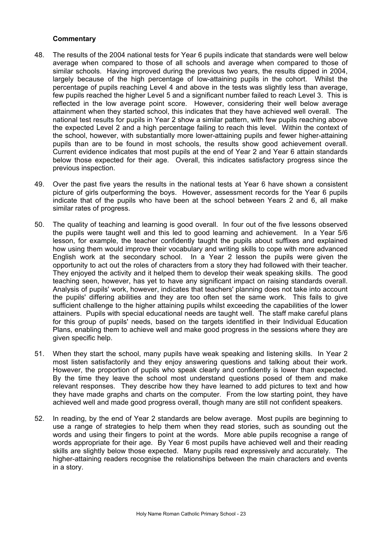## **Commentary**

- 48. The results of the 2004 national tests for Year 6 pupils indicate that standards were well below average when compared to those of all schools and average when compared to those of similar schools. Having improved during the previous two years, the results dipped in 2004, largely because of the high percentage of low-attaining pupils in the cohort. Whilst the percentage of pupils reaching Level 4 and above in the tests was slightly less than average, few pupils reached the higher Level 5 and a significant number failed to reach Level 3. This is reflected in the low average point score. However, considering their well below average attainment when they started school, this indicates that they have achieved well overall. The national test results for pupils in Year 2 show a similar pattern, with few pupils reaching above the expected Level 2 and a high percentage failing to reach this level. Within the context of the school, however, with substantially more lower-attaining pupils and fewer higher-attaining pupils than are to be found in most schools, the results show good achievement overall. Current evidence indicates that most pupils at the end of Year 2 and Year 6 attain standards below those expected for their age. Overall, this indicates satisfactory progress since the previous inspection.
- 49. Over the past five years the results in the national tests at Year 6 have shown a consistent picture of girls outperforming the boys. However, assessment records for the Year 6 pupils indicate that of the pupils who have been at the school between Years 2 and 6, all make similar rates of progress.
- 50. The quality of teaching and learning is good overall. In four out of the five lessons observed the pupils were taught well and this led to good learning and achievement. In a Year 5/6 lesson, for example, the teacher confidently taught the pupils about suffixes and explained how using them would improve their vocabulary and writing skills to cope with more advanced English work at the secondary school. In a Year 2 lesson the pupils were given the opportunity to act out the roles of characters from a story they had followed with their teacher. They enjoyed the activity and it helped them to develop their weak speaking skills. The good teaching seen, however, has yet to have any significant impact on raising standards overall. Analysis of pupils' work, however, indicates that teachers' planning does not take into account the pupils' differing abilities and they are too often set the same work. This fails to give sufficient challenge to the higher attaining pupils whilst exceeding the capabilities of the lower attainers. Pupils with special educational needs are taught well. The staff make careful plans for this group of pupils' needs, based on the targets identified in their Individual Education Plans, enabling them to achieve well and make good progress in the sessions where they are given specific help.
- 51. When they start the school, many pupils have weak speaking and listening skills. In Year 2 most listen satisfactorily and they enjoy answering questions and talking about their work. However, the proportion of pupils who speak clearly and confidently is lower than expected. By the time they leave the school most understand questions posed of them and make relevant responses. They describe how they have learned to add pictures to text and how they have made graphs and charts on the computer. From the low starting point, they have achieved well and made good progress overall, though many are still not confident speakers.
- 52. In reading, by the end of Year 2 standards are below average. Most pupils are beginning to use a range of strategies to help them when they read stories, such as sounding out the words and using their fingers to point at the words. More able pupils recognise a range of words appropriate for their age. By Year 6 most pupils have achieved well and their reading skills are slightly below those expected. Many pupils read expressively and accurately. The higher-attaining readers recognise the relationships between the main characters and events in a story.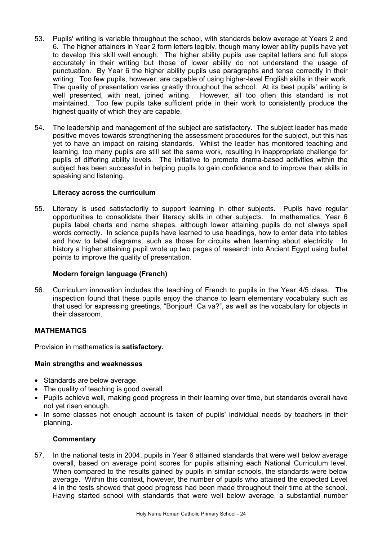- 53. Pupils' writing is variable throughout the school, with standards below average at Years 2 and 6. The higher attainers in Year 2 form letters legibly, though many lower ability pupils have yet to develop this skill well enough. The higher ability pupils use capital letters and full stops accurately in their writing but those of lower ability do not understand the usage of punctuation. By Year 6 the higher ability pupils use paragraphs and tense correctly in their writing. Too few pupils, however, are capable of using higher-level English skills in their work. The quality of presentation varies greatly throughout the school. At its best pupils' writing is well presented, with neat, joined writing. However, all too often this standard is not maintained. Too few pupils take sufficient pride in their work to consistently produce the highest quality of which they are capable.
- 54. The leadership and management of the subject are satisfactory. The subject leader has made positive moves towards strengthening the assessment procedures for the subject, but this has yet to have an impact on raising standards. Whilst the leader has monitored teaching and learning, too many pupils are still set the same work, resulting in inappropriate challenge for pupils of differing ability levels. The initiative to promote drama-based activities within the subject has been successful in helping pupils to gain confidence and to improve their skills in speaking and listening.

## **Literacy across the curriculum**

55. Literacy is used satisfactorily to support learning in other subjects. Pupils have regular opportunities to consolidate their literacy skills in other subjects. In mathematics, Year 6 pupils label charts and name shapes, although lower attaining pupils do not always spell words correctly. In science pupils have learned to use headings, how to enter data into tables and how to label diagrams, such as those for circuits when learning about electricity. In history a higher attaining pupil wrote up two pages of research into Ancient Egypt using bullet points to improve the quality of presentation.

## **Modern foreign language (French)**

56. Curriculum innovation includes the teaching of French to pupils in the Year 4/5 class. The inspection found that these pupils enjoy the chance to learn elementary vocabulary such as that used for expressing greetings, "Bonjour! Ca va?", as well as the vocabulary for objects in their classroom.

## **MATHEMATICS**

Provision in mathematics is **satisfactory.** 

## **Main strengths and weaknesses**

- Standards are below average.
- The quality of teaching is good overall.
- Pupils achieve well, making good progress in their learning over time, but standards overall have not yet risen enough.
- In some classes not enough account is taken of pupils' individual needs by teachers in their planning.

## **Commentary**

57. In the national tests in 2004, pupils in Year 6 attained standards that were well below average overall, based on average point scores for pupils attaining each National Curriculum level. When compared to the results gained by pupils in similar schools, the standards were below average. Within this context, however, the number of pupils who attained the expected Level 4 in the tests showed that good progress had been made throughout their time at the school. Having started school with standards that were well below average, a substantial number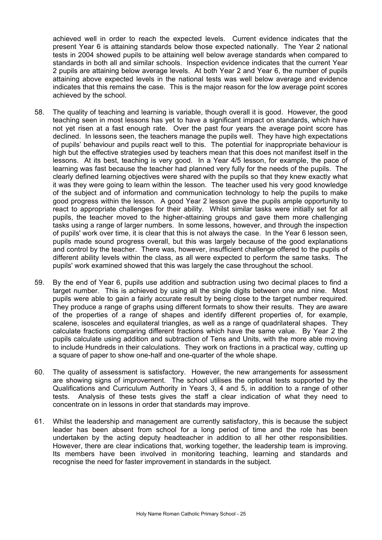achieved well in order to reach the expected levels. Current evidence indicates that the present Year 6 is attaining standards below those expected nationally. The Year 2 national tests in 2004 showed pupils to be attaining well below average standards when compared to standards in both all and similar schools. Inspection evidence indicates that the current Year 2 pupils are attaining below average levels. At both Year 2 and Year 6, the number of pupils attaining above expected levels in the national tests was well below average and evidence indicates that this remains the case. This is the major reason for the low average point scores achieved by the school.

- 58. The quality of teaching and learning is variable, though overall it is good. However, the good teaching seen in most lessons has yet to have a significant impact on standards, which have not yet risen at a fast enough rate. Over the past four years the average point score has declined. In lessons seen, the teachers manage the pupils well. They have high expectations of pupils' behaviour and pupils react well to this. The potential for inappropriate behaviour is high but the effective strategies used by teachers mean that this does not manifest itself in the lessons. At its best, teaching is very good. In a Year 4/5 lesson, for example, the pace of learning was fast because the teacher had planned very fully for the needs of the pupils. The clearly defined learning objectives were shared with the pupils so that they knew exactly what it was they were going to learn within the lesson. The teacher used his very good knowledge of the subject and of information and communication technology to help the pupils to make good progress within the lesson. A good Year 2 lesson gave the pupils ample opportunity to react to appropriate challenges for their ability. Whilst similar tasks were initially set for all pupils, the teacher moved to the higher-attaining groups and gave them more challenging tasks using a range of larger numbers. In some lessons, however, and through the inspection of pupils' work over time, it is clear that this is not always the case. In the Year 6 lesson seen, pupils made sound progress overall, but this was largely because of the good explanations and control by the teacher. There was, however, insufficient challenge offered to the pupils of different ability levels within the class, as all were expected to perform the same tasks. The pupils' work examined showed that this was largely the case throughout the school.
- 59. By the end of Year 6, pupils use addition and subtraction using two decimal places to find a target number. This is achieved by using all the single digits between one and nine. Most pupils were able to gain a fairly accurate result by being close to the target number required. They produce a range of graphs using different formats to show their results. They are aware of the properties of a range of shapes and identify different properties of, for example, scalene, isosceles and equilateral triangles, as well as a range of quadrilateral shapes. They calculate fractions comparing different fractions which have the same value. By Year 2 the pupils calculate using addition and subtraction of Tens and Units, with the more able moving to include Hundreds in their calculations. They work on fractions in a practical way, cutting up a square of paper to show one-half and one-quarter of the whole shape.
- 60. The quality of assessment is satisfactory. However, the new arrangements for assessment are showing signs of improvement. The school utilises the optional tests supported by the Qualifications and Curriculum Authority in Years 3, 4 and 5, in addition to a range of other tests. Analysis of these tests gives the staff a clear indication of what they need to concentrate on in lessons in order that standards may improve.
- 61. Whilst the leadership and management are currently satisfactory, this is because the subject leader has been absent from school for a long period of time and the role has been undertaken by the acting deputy headteacher in addition to all her other responsibilities. However, there are clear indications that, working together, the leadership team is improving. Its members have been involved in monitoring teaching, learning and standards and recognise the need for faster improvement in standards in the subject.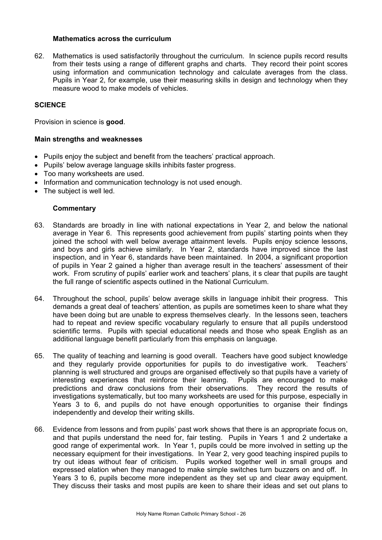## **Mathematics across the curriculum**

62. Mathematics is used satisfactorily throughout the curriculum. In science pupils record results from their tests using a range of different graphs and charts. They record their point scores using information and communication technology and calculate averages from the class. Pupils in Year 2, for example, use their measuring skills in design and technology when they measure wood to make models of vehicles.

## **SCIENCE**

Provision in science is **good**.

## **Main strengths and weaknesses**

- Pupils enjoy the subject and benefit from the teachers' practical approach.
- Pupils' below average language skills inhibits faster progress.
- Too many worksheets are used.
- Information and communication technology is not used enough.
- The subject is well led.

## **Commentary**

- 63. Standards are broadly in line with national expectations in Year 2, and below the national average in Year 6. This represents good achievement from pupils' starting points when they joined the school with well below average attainment levels. Pupils enjoy science lessons, and boys and girls achieve similarly. In Year 2, standards have improved since the last inspection, and in Year 6, standards have been maintained. In 2004, a significant proportion of pupils in Year 2 gained a higher than average result in the teachers' assessment of their work. From scrutiny of pupils' earlier work and teachers' plans, it s clear that pupils are taught the full range of scientific aspects outlined in the National Curriculum.
- 64. Throughout the school, pupils' below average skills in language inhibit their progress. This demands a great deal of teachers' attention, as pupils are sometimes keen to share what they have been doing but are unable to express themselves clearly. In the lessons seen, teachers had to repeat and review specific vocabulary regularly to ensure that all pupils understood scientific terms. Pupils with special educational needs and those who speak English as an additional language benefit particularly from this emphasis on language.
- 65. The quality of teaching and learning is good overall. Teachers have good subject knowledge and they regularly provide opportunities for pupils to do investigative work. Teachers' planning is well structured and groups are organised effectively so that pupils have a variety of interesting experiences that reinforce their learning. Pupils are encouraged to make predictions and draw conclusions from their observations. They record the results of investigations systematically, but too many worksheets are used for this purpose, especially in Years 3 to 6, and pupils do not have enough opportunities to organise their findings independently and develop their writing skills.
- 66. Evidence from lessons and from pupils' past work shows that there is an appropriate focus on, and that pupils understand the need for, fair testing. Pupils in Years 1 and 2 undertake a good range of experimental work. In Year 1, pupils could be more involved in setting up the necessary equipment for their investigations. In Year 2, very good teaching inspired pupils to try out ideas without fear of criticism. Pupils worked together well in small groups and expressed elation when they managed to make simple switches turn buzzers on and off. In Years 3 to 6, pupils become more independent as they set up and clear away equipment. They discuss their tasks and most pupils are keen to share their ideas and set out plans to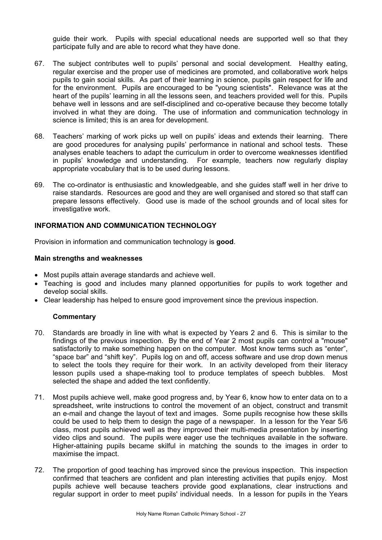guide their work. Pupils with special educational needs are supported well so that they participate fully and are able to record what they have done.

- 67. The subject contributes well to pupils' personal and social development. Healthy eating, regular exercise and the proper use of medicines are promoted, and collaborative work helps pupils to gain social skills. As part of their learning in science, pupils gain respect for life and for the environment. Pupils are encouraged to be "young scientists". Relevance was at the heart of the pupils' learning in all the lessons seen, and teachers provided well for this. Pupils behave well in lessons and are self-disciplined and co-operative because they become totally involved in what they are doing. The use of information and communication technology in science is limited; this is an area for development.
- 68. Teachers' marking of work picks up well on pupils' ideas and extends their learning. There are good procedures for analysing pupils' performance in national and school tests. These analyses enable teachers to adapt the curriculum in order to overcome weaknesses identified in pupils' knowledge and understanding. For example, teachers now regularly display appropriate vocabulary that is to be used during lessons.
- 69. The co-ordinator is enthusiastic and knowledgeable, and she guides staff well in her drive to raise standards. Resources are good and they are well organised and stored so that staff can prepare lessons effectively. Good use is made of the school grounds and of local sites for investigative work.

## **INFORMATION AND COMMUNICATION TECHNOLOGY**

Provision in information and communication technology is **good**.

## **Main strengths and weaknesses**

- Most pupils attain average standards and achieve well.
- Teaching is good and includes many planned opportunities for pupils to work together and develop social skills.
- Clear leadership has helped to ensure good improvement since the previous inspection.

#### **Commentary**

- 70. Standards are broadly in line with what is expected by Years 2 and 6. This is similar to the findings of the previous inspection. By the end of Year 2 most pupils can control a "mouse" satisfactorily to make something happen on the computer. Most know terms such as "enter", "space bar" and "shift key". Pupils log on and off, access software and use drop down menus to select the tools they require for their work. In an activity developed from their literacy lesson pupils used a shape-making tool to produce templates of speech bubbles. Most selected the shape and added the text confidently.
- 71. Most pupils achieve well, make good progress and, by Year 6, know how to enter data on to a spreadsheet, write instructions to control the movement of an object, construct and transmit an e-mail and change the layout of text and images. Some pupils recognise how these skills could be used to help them to design the page of a newspaper. In a lesson for the Year 5/6 class, most pupils achieved well as they improved their multi-media presentation by inserting video clips and sound. The pupils were eager use the techniques available in the software. Higher-attaining pupils became skilful in matching the sounds to the images in order to maximise the impact.
- 72. The proportion of good teaching has improved since the previous inspection. This inspection confirmed that teachers are confident and plan interesting activities that pupils enjoy. Most pupils achieve well because teachers provide good explanations, clear instructions and regular support in order to meet pupils' individual needs. In a lesson for pupils in the Years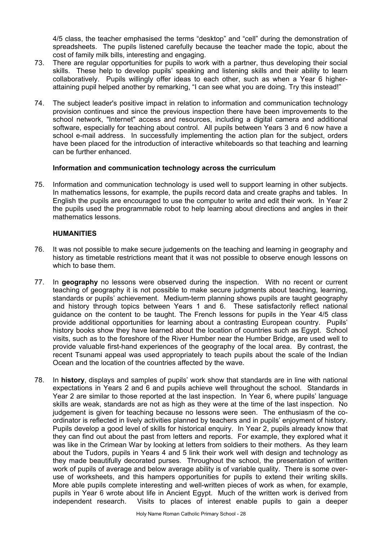4/5 class, the teacher emphasised the terms "desktop" and "cell" during the demonstration of spreadsheets. The pupils listened carefully because the teacher made the topic, about the cost of family milk bills, interesting and engaging.

- 73. There are regular opportunities for pupils to work with a partner, thus developing their social skills. These help to develop pupils' speaking and listening skills and their ability to learn collaboratively. Pupils willingly offer ideas to each other, such as when a Year 6 higherattaining pupil helped another by remarking, "I can see what you are doing. Try this instead!"
- 74. The subject leader's positive impact in relation to information and communication technology provision continues and since the previous inspection there have been improvements to the school network, "Internet" access and resources, including a digital camera and additional software, especially for teaching about control. All pupils between Years 3 and 6 now have a school e-mail address. In successfully implementing the action plan for the subject, orders have been placed for the introduction of interactive whiteboards so that teaching and learning can be further enhanced.

## **Information and communication technology across the curriculum**

75. Information and communication technology is used well to support learning in other subjects. In mathematics lessons, for example, the pupils record data and create graphs and tables. In English the pupils are encouraged to use the computer to write and edit their work. In Year 2 the pupils used the programmable robot to help learning about directions and angles in their mathematics lessons.

## **HUMANITIES**

- 76. It was not possible to make secure judgements on the teaching and learning in geography and history as timetable restrictions meant that it was not possible to observe enough lessons on which to base them.
- 77. In **geography** no lessons were observed during the inspection. With no recent or current teaching of geography it is not possible to make secure judgments about teaching, learning, standards or pupils' achievement. Medium-term planning shows pupils are taught geography and history through topics between Years 1 and 6. These satisfactorily reflect national guidance on the content to be taught. The French lessons for pupils in the Year 4/5 class provide additional opportunities for learning about a contrasting European country. Pupils' history books show they have learned about the location of countries such as Egypt. School visits, such as to the foreshore of the River Humber near the Humber Bridge, are used well to provide valuable first-hand experiences of the geography of the local area. By contrast, the recent Tsunami appeal was used appropriately to teach pupils about the scale of the Indian Ocean and the location of the countries affected by the wave.
- 78. In **history**, displays and samples of pupils' work show that standards are in line with national expectations in Years 2 and 6 and pupils achieve well throughout the school. Standards in Year 2 are similar to those reported at the last inspection. In Year 6, where pupils' language skills are weak, standards are not as high as they were at the time of the last inspection. No judgement is given for teaching because no lessons were seen. The enthusiasm of the coordinator is reflected in lively activities planned by teachers and in pupils' enjoyment of history. Pupils develop a good level of skills for historical enquiry. In Year 2, pupils already know that they can find out about the past from letters and reports. For example, they explored what it was like in the Crimean War by looking at letters from soldiers to their mothers. As they learn about the Tudors, pupils in Years 4 and 5 link their work well with design and technology as they made beautifully decorated purses. Throughout the school, the presentation of written work of pupils of average and below average ability is of variable quality. There is some overuse of worksheets, and this hampers opportunities for pupils to extend their writing skills. More able pupils complete interesting and well-written pieces of work as when, for example, pupils in Year 6 wrote about life in Ancient Egypt. Much of the written work is derived from independent research. Visits to places of interest enable pupils to gain a deeper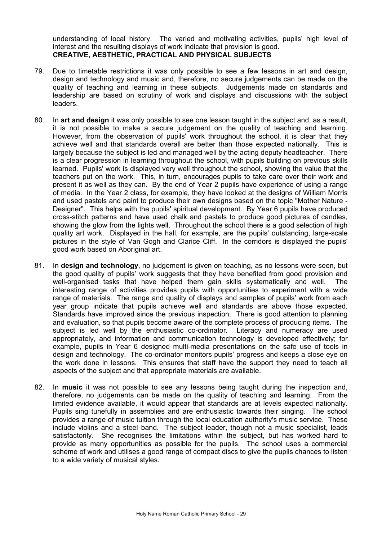understanding of local history. The varied and motivating activities, pupils' high level of interest and the resulting displays of work indicate that provision is good. **CREATIVE, AESTHETIC, PRACTICAL AND PHYSICAL SUBJECTS** 

- 79. Due to timetable restrictions it was only possible to see a few lessons in art and design, design and technology and music and, therefore, no secure judgements can be made on the quality of teaching and learning in these subjects. Judgements made on standards and leadership are based on scrutiny of work and displays and discussions with the subject leaders.
- 80. In **art and design** it was only possible to see one lesson taught in the subject and, as a result, it is not possible to make a secure judgement on the quality of teaching and learning. However, from the observation of pupils' work throughout the school, it is clear that they achieve well and that standards overall are better than those expected nationally. This is largely because the subject is led and managed well by the acting deputy headteacher. There is a clear progression in learning throughout the school, with pupils building on previous skills learned. Pupils' work is displayed very well throughout the school, showing the value that the teachers put on the work. This, in turn, encourages pupils to take care over their work and present it as well as they can. By the end of Year 2 pupils have experience of using a range of media. In the Year 2 class, for example, they have looked at the designs of William Morris and used pastels and paint to produce their own designs based on the topic "Mother Nature - Designer". This helps with the pupils' spiritual development. By Year 6 pupils have produced cross-stitch patterns and have used chalk and pastels to produce good pictures of candles, showing the glow from the lights well. Throughout the school there is a good selection of high quality art work. Displayed in the hall, for example, are the pupils' outstanding, large-scale pictures in the style of Van Gogh and Clarice Cliff. In the corridors is displayed the pupils' good work based on Aboriginal art.
- 81. In **design and technology**, no judgement is given on teaching, as no lessons were seen, but the good quality of pupils' work suggests that they have benefited from good provision and well-organised tasks that have helped them gain skills systematically and well. The interesting range of activities provides pupils with opportunities to experiment with a wide range of materials. The range and quality of displays and samples of pupils' work from each year group indicate that pupils achieve well and standards are above those expected. Standards have improved since the previous inspection. There is good attention to planning and evaluation, so that pupils become aware of the complete process of producing items. The subject is led well by the enthusiastic co-ordinator. Literacy and numeracy are used appropriately, and information and communication technology is developed effectively; for example, pupils in Year 6 designed multi-media presentations on the safe use of tools in design and technology. The co-ordinator monitors pupils' progress and keeps a close eye on the work done in lessons. This ensures that staff have the support they need to teach all aspects of the subject and that appropriate materials are available.
- 82. In **music** it was not possible to see any lessons being taught during the inspection and, therefore, no judgements can be made on the quality of teaching and learning. From the limited evidence available, it would appear that standards are at levels expected nationally. Pupils sing tunefully in assemblies and are enthusiastic towards their singing. The school provides a range of music tuition through the local education authority's music service. These include violins and a steel band. The subject leader, though not a music specialist, leads satisfactorily. She recognises the limitations within the subject, but has worked hard to provide as many opportunities as possible for the pupils. The school uses a commercial scheme of work and utilises a good range of compact discs to give the pupils chances to listen to a wide variety of musical styles.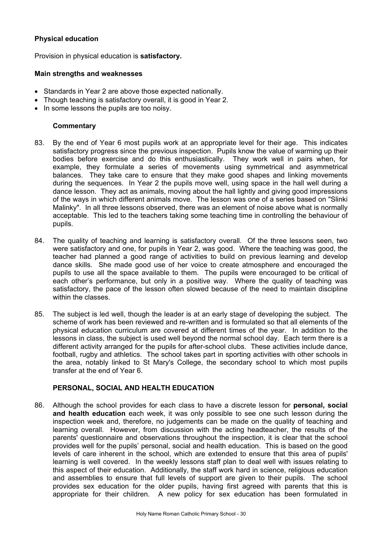## **Physical education**

Provision in physical education is **satisfactory.** 

## **Main strengths and weaknesses**

- Standards in Year 2 are above those expected nationally.
- Though teaching is satisfactory overall, it is good in Year 2.
- In some lessons the pupils are too noisy.

## **Commentary**

- 83. By the end of Year 6 most pupils work at an appropriate level for their age. This indicates satisfactory progress since the previous inspection. Pupils know the value of warming up their bodies before exercise and do this enthusiastically. They work well in pairs when, for example, they formulate a series of movements using symmetrical and asymmetrical balances. They take care to ensure that they make good shapes and linking movements during the sequences. In Year 2 the pupils move well, using space in the hall well during a dance lesson. They act as animals, moving about the hall lightly and giving good impressions of the ways in which different animals move. The lesson was one of a series based on "Slinki Malinky". In all three lessons observed, there was an element of noise above what is normally acceptable. This led to the teachers taking some teaching time in controlling the behaviour of pupils.
- 84. The quality of teaching and learning is satisfactory overall. Of the three lessons seen, two were satisfactory and one, for pupils in Year 2, was good. Where the teaching was good, the teacher had planned a good range of activities to build on previous learning and develop dance skills. She made good use of her voice to create atmosphere and encouraged the pupils to use all the space available to them. The pupils were encouraged to be critical of each other's performance, but only in a positive way. Where the quality of teaching was satisfactory, the pace of the lesson often slowed because of the need to maintain discipline within the classes.
- 85. The subject is led well, though the leader is at an early stage of developing the subject. The scheme of work has been reviewed and re-written and is formulated so that all elements of the physical education curriculum are covered at different times of the year. In addition to the lessons in class, the subject is used well beyond the normal school day. Each term there is a different activity arranged for the pupils for after-school clubs. These activities include dance, football, rugby and athletics. The school takes part in sporting activities with other schools in the area, notably linked to St Mary's College, the secondary school to which most pupils transfer at the end of Year 6.

#### **PERSONAL, SOCIAL AND HEALTH EDUCATION**

86. Although the school provides for each class to have a discrete lesson for **personal, social and health education** each week, it was only possible to see one such lesson during the inspection week and, therefore, no judgements can be made on the quality of teaching and learning overall. However, from discussion with the acting headteacher, the results of the parents' questionnaire and observations throughout the inspection, it is clear that the school provides well for the pupils' personal, social and health education. This is based on the good levels of care inherent in the school, which are extended to ensure that this area of pupils' learning is well covered. In the weekly lessons staff plan to deal well with issues relating to this aspect of their education. Additionally, the staff work hard in science, religious education and assemblies to ensure that full levels of support are given to their pupils. The school provides sex education for the older pupils, having first agreed with parents that this is appropriate for their children. A new policy for sex education has been formulated in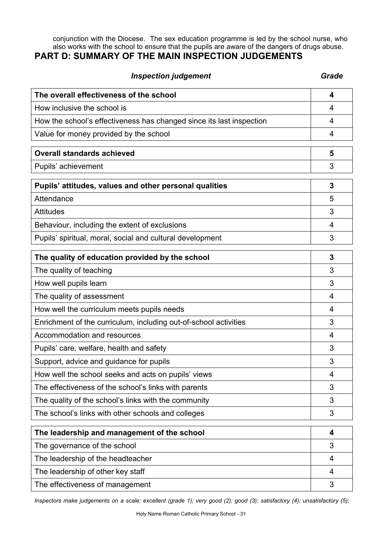conjunction with the Diocese. The sex education programme is led by the school nurse, who also works with the school to ensure that the pupils are aware of the dangers of drugs abuse.

# **PART D: SUMMARY OF THE MAIN INSPECTION JUDGEMENTS**

| <b>Inspection judgement</b>                                          | Grade          |
|----------------------------------------------------------------------|----------------|
| The overall effectiveness of the school                              | 4              |
| How inclusive the school is                                          | 4              |
| How the school's effectiveness has changed since its last inspection | 4              |
| Value for money provided by the school                               | 4              |
| <b>Overall standards achieved</b>                                    | 5              |
| Pupils' achievement                                                  | 3              |
| Pupils' attitudes, values and other personal qualities               | 3              |
| Attendance                                                           | 5              |
| <b>Attitudes</b>                                                     | 3              |
| Behaviour, including the extent of exclusions                        | 4              |
| Pupils' spiritual, moral, social and cultural development            | 3              |
| The quality of education provided by the school                      | 3              |
| The quality of teaching                                              | 3              |
| How well pupils learn                                                | 3              |
| The quality of assessment                                            | 4              |
| How well the curriculum meets pupils needs                           | 4              |
| Enrichment of the curriculum, including out-of-school activities     | 3              |
| Accommodation and resources                                          | 4              |
| Pupils' care, welfare, health and safety                             | 3              |
| Support, advice and guidance for pupils                              | 3              |
| How well the school seeks and acts on pupils' views                  | 4              |
| The effectiveness of the school's links with parents                 | 3              |
| The quality of the school's links with the community                 | 3              |
| The school's links with other schools and colleges                   | 3              |
| The leadership and management of the school                          | 4              |
| The governance of the school                                         | 3              |
| The leadership of the headteacher                                    | $\overline{4}$ |
| The leadership of other key staff                                    | 4              |
| The effectiveness of management                                      | 3              |

*Inspectors make judgements on a scale: excellent (grade 1); very good (2); good (3); satisfactory (4); unsatisfactory (5);*